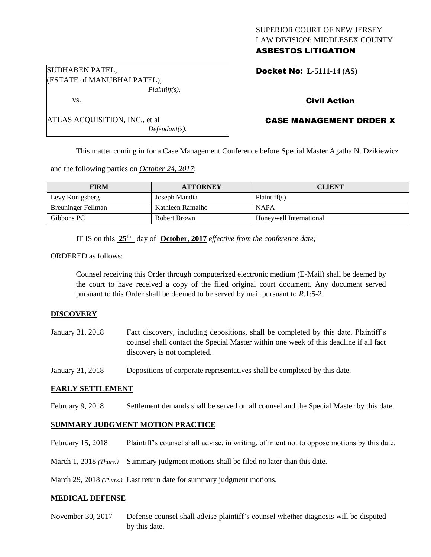## SUPERIOR COURT OF NEW JERSEY LAW DIVISION: MIDDLESEX COUNTY ASBESTOS LITIGATION

| SUDHABEN PATEL,             |
|-----------------------------|
| (ESTATE of MANUBHAI PATEL), |
| $Plaintiff(s)$ ,            |

ATLAS ACQUISITION, INC., et al

Docket No: **L-5111-14 (AS)** 

# Civil Action

## CASE MANAGEMENT ORDER X

This matter coming in for a Case Management Conference before Special Master Agatha N. Dzikiewicz

and the following parties on *October 24, 2017*:

| <b>FIRM</b>               | <b>ATTORNEY</b>  | <b>CLIENT</b>           |
|---------------------------|------------------|-------------------------|
| Levy Konigsberg           | Joseph Mandia    | Plaintiff(s)            |
| <b>Breuninger Fellman</b> | Kathleen Ramalho | <b>NAPA</b>             |
| Gibbons PC                | Robert Brown     | Honeywell International |

IT IS on this **25th** day of **October, 2017** *effective from the conference date;*

*Defendant(s).*

ORDERED as follows:

vs.

Counsel receiving this Order through computerized electronic medium (E-Mail) shall be deemed by the court to have received a copy of the filed original court document. Any document served pursuant to this Order shall be deemed to be served by mail pursuant to *R*.1:5-2.

## **DISCOVERY**

| January 31, 2018 | Fact discovery, including depositions, shall be completed by this date. Plaintiff's   |
|------------------|---------------------------------------------------------------------------------------|
|                  | counsel shall contact the Special Master within one week of this deadline if all fact |
|                  | discovery is not completed.                                                           |

January 31, 2018 Depositions of corporate representatives shall be completed by this date.

## **EARLY SETTLEMENT**

February 9, 2018 Settlement demands shall be served on all counsel and the Special Master by this date.

## **SUMMARY JUDGMENT MOTION PRACTICE**

February 15, 2018 Plaintiff's counsel shall advise, in writing, of intent not to oppose motions by this date.

March 1, 2018 *(Thurs.)* Summary judgment motions shall be filed no later than this date.

March 29, 2018 *(Thurs.)* Last return date for summary judgment motions.

#### **MEDICAL DEFENSE**

November 30, 2017 Defense counsel shall advise plaintiff's counsel whether diagnosis will be disputed by this date.